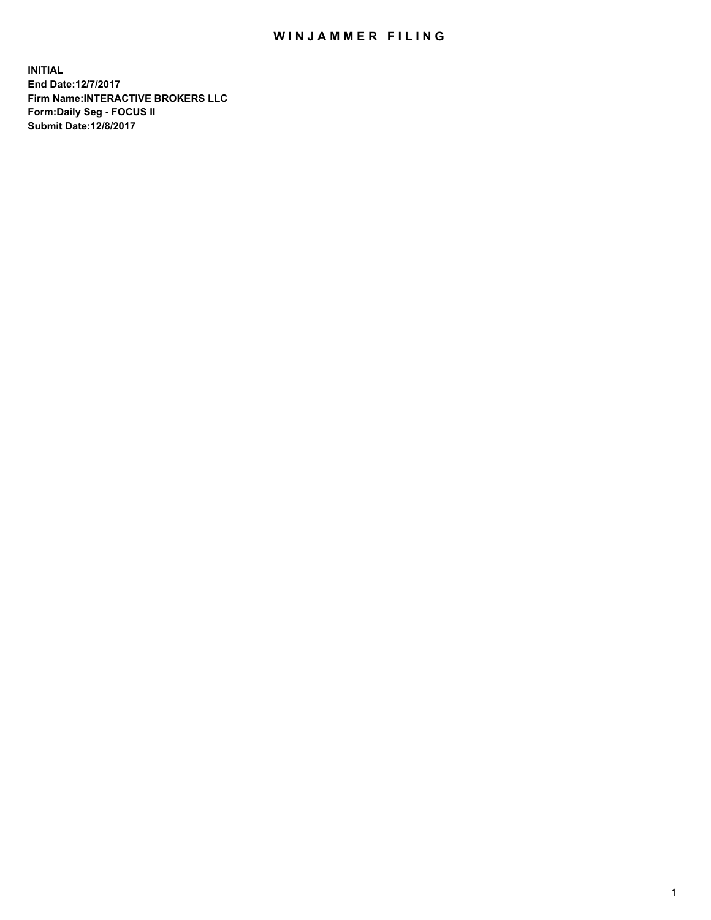## WIN JAMMER FILING

**INITIAL End Date:12/7/2017 Firm Name:INTERACTIVE BROKERS LLC Form:Daily Seg - FOCUS II Submit Date:12/8/2017**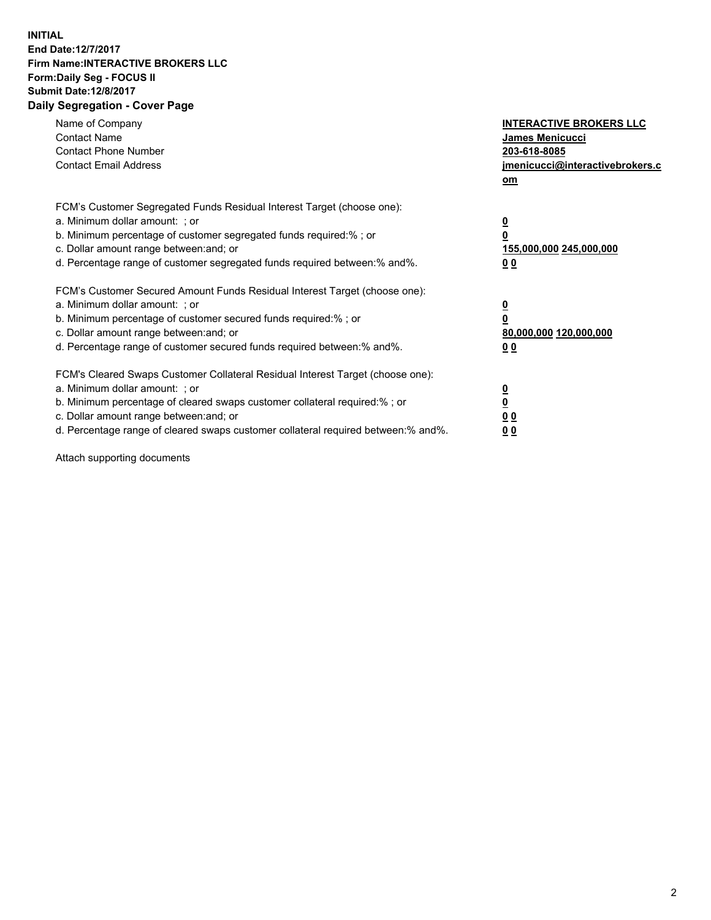## **INITIAL End Date:12/7/2017 Firm Name:INTERACTIVE BROKERS LLC Form:Daily Seg - FOCUS II Submit Date:12/8/2017 Daily Segregation - Cover Page**

| Name of Company<br><b>Contact Name</b><br><b>Contact Phone Number</b><br><b>Contact Email Address</b>                                                                                                                                                                                                                          | <b>INTERACTIVE BROKERS LLC</b><br><b>James Menicucci</b><br>203-618-8085<br>jmenicucci@interactivebrokers.c<br>om |
|--------------------------------------------------------------------------------------------------------------------------------------------------------------------------------------------------------------------------------------------------------------------------------------------------------------------------------|-------------------------------------------------------------------------------------------------------------------|
| FCM's Customer Segregated Funds Residual Interest Target (choose one):<br>a. Minimum dollar amount: ; or<br>b. Minimum percentage of customer segregated funds required:%; or<br>c. Dollar amount range between: and; or<br>d. Percentage range of customer segregated funds required between:% and%.                          | $\overline{\mathbf{0}}$<br>0<br>155,000,000 245,000,000<br>0 <sub>0</sub>                                         |
| FCM's Customer Secured Amount Funds Residual Interest Target (choose one):<br>a. Minimum dollar amount: ; or<br>b. Minimum percentage of customer secured funds required:%; or<br>c. Dollar amount range between: and; or<br>d. Percentage range of customer secured funds required between: % and %.                          | $\overline{\mathbf{0}}$<br>0<br>80,000,000 120,000,000<br>0 <sub>0</sub>                                          |
| FCM's Cleared Swaps Customer Collateral Residual Interest Target (choose one):<br>a. Minimum dollar amount: ; or<br>b. Minimum percentage of cleared swaps customer collateral required:% ; or<br>c. Dollar amount range between: and; or<br>d. Percentage range of cleared swaps customer collateral required between:% and%. | $\overline{\mathbf{0}}$<br>$\overline{\mathbf{0}}$<br>0 <sub>0</sub><br><u>00</u>                                 |

Attach supporting documents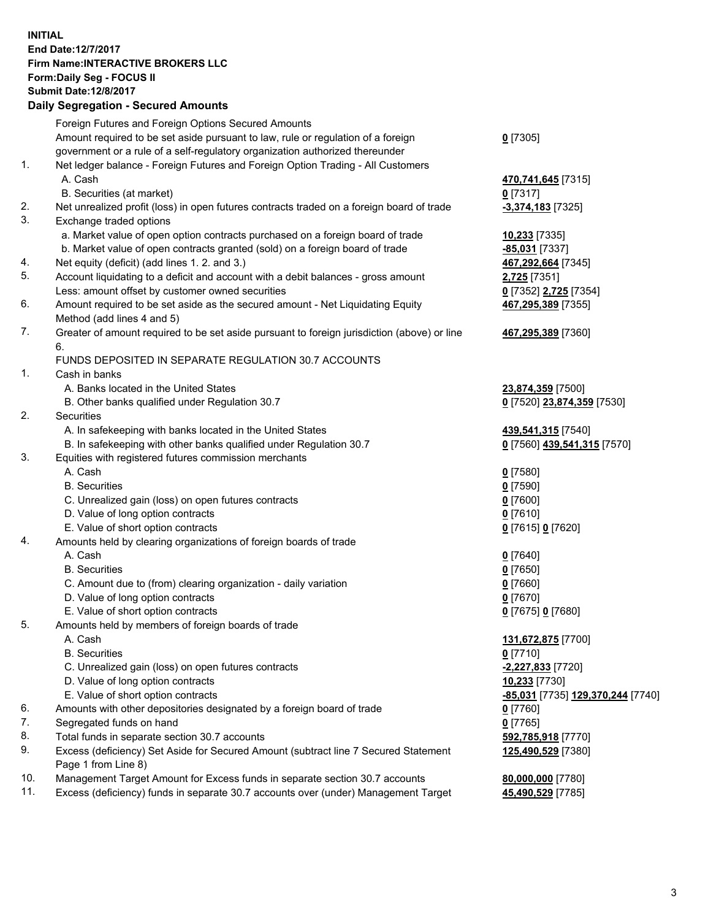## **INITIAL End Date:12/7/2017 Firm Name:INTERACTIVE BROKERS LLC Form:Daily Seg - FOCUS II Submit Date:12/8/2017**

|     | <b>Daily Segregation - Secured Amounts</b>                                                  |                                   |
|-----|---------------------------------------------------------------------------------------------|-----------------------------------|
|     | Foreign Futures and Foreign Options Secured Amounts                                         |                                   |
|     | Amount required to be set aside pursuant to law, rule or regulation of a foreign            | $0$ [7305]                        |
|     | government or a rule of a self-regulatory organization authorized thereunder                |                                   |
| 1.  | Net ledger balance - Foreign Futures and Foreign Option Trading - All Customers             |                                   |
|     | A. Cash                                                                                     | 470,741,645 [7315]                |
|     | B. Securities (at market)                                                                   | $0$ [7317]                        |
| 2.  | Net unrealized profit (loss) in open futures contracts traded on a foreign board of trade   | -3,374,183 [7325]                 |
| 3.  | Exchange traded options                                                                     |                                   |
|     | a. Market value of open option contracts purchased on a foreign board of trade              | 10,233 [7335]                     |
|     | b. Market value of open contracts granted (sold) on a foreign board of trade                | -85,031 [7337]                    |
| 4.  | Net equity (deficit) (add lines 1.2. and 3.)                                                | 467,292,664 [7345]                |
| 5.  | Account liquidating to a deficit and account with a debit balances - gross amount           | 2,725 [7351]                      |
|     | Less: amount offset by customer owned securities                                            | 0 [7352] 2,725 [7354]             |
| 6.  | Amount required to be set aside as the secured amount - Net Liquidating Equity              | 467,295,389 [7355]                |
|     | Method (add lines 4 and 5)                                                                  |                                   |
| 7.  | Greater of amount required to be set aside pursuant to foreign jurisdiction (above) or line | 467,295,389 [7360]                |
|     | 6.                                                                                          |                                   |
|     | FUNDS DEPOSITED IN SEPARATE REGULATION 30.7 ACCOUNTS                                        |                                   |
| 1.  | Cash in banks                                                                               |                                   |
|     | A. Banks located in the United States                                                       | 23,874,359 [7500]                 |
|     | B. Other banks qualified under Regulation 30.7                                              | 0 [7520] 23,874,359 [7530]        |
| 2.  | Securities                                                                                  |                                   |
|     | A. In safekeeping with banks located in the United States                                   | 439,541,315 [7540]                |
|     | B. In safekeeping with other banks qualified under Regulation 30.7                          | 0 [7560] 439,541,315 [7570]       |
| 3.  | Equities with registered futures commission merchants                                       |                                   |
|     | A. Cash                                                                                     | $0$ [7580]                        |
|     | <b>B.</b> Securities                                                                        | $0$ [7590]                        |
|     | C. Unrealized gain (loss) on open futures contracts                                         | $0$ [7600]                        |
|     | D. Value of long option contracts                                                           | $0$ [7610]                        |
|     | E. Value of short option contracts                                                          | 0 [7615] 0 [7620]                 |
| 4.  | Amounts held by clearing organizations of foreign boards of trade                           |                                   |
|     | A. Cash                                                                                     | $0$ [7640]                        |
|     | <b>B.</b> Securities                                                                        | $0$ [7650]                        |
|     | C. Amount due to (from) clearing organization - daily variation                             | $0$ [7660]                        |
|     | D. Value of long option contracts                                                           | $0$ [7670]                        |
|     | E. Value of short option contracts                                                          | 0 [7675] 0 [7680]                 |
| 5.  | Amounts held by members of foreign boards of trade                                          |                                   |
|     | A. Cash                                                                                     | 131,672,875 [7700]                |
|     | <b>B.</b> Securities                                                                        | 0 [7710]                          |
|     | C. Unrealized gain (loss) on open futures contracts                                         | <u>-2,227,833</u> [7720]          |
|     | D. Value of long option contracts                                                           | 10,233 [7730]                     |
|     | E. Value of short option contracts                                                          | -85,031 [7735] 129,370,244 [7740] |
| 6.  | Amounts with other depositories designated by a foreign board of trade                      | 0 [7760]                          |
| 7.  | Segregated funds on hand                                                                    | $0$ [7765]                        |
| 8.  | Total funds in separate section 30.7 accounts                                               | 592,785,918 [7770]                |
| 9.  | Excess (deficiency) Set Aside for Secured Amount (subtract line 7 Secured Statement         | 125,490,529 [7380]                |
|     | Page 1 from Line 8)                                                                         |                                   |
| 10. | Management Target Amount for Excess funds in separate section 30.7 accounts                 | 80,000,000 [7780]                 |
| 11. | Excess (deficiency) funds in separate 30.7 accounts over (under) Management Target          | 45,490,529 [7785]                 |
|     |                                                                                             |                                   |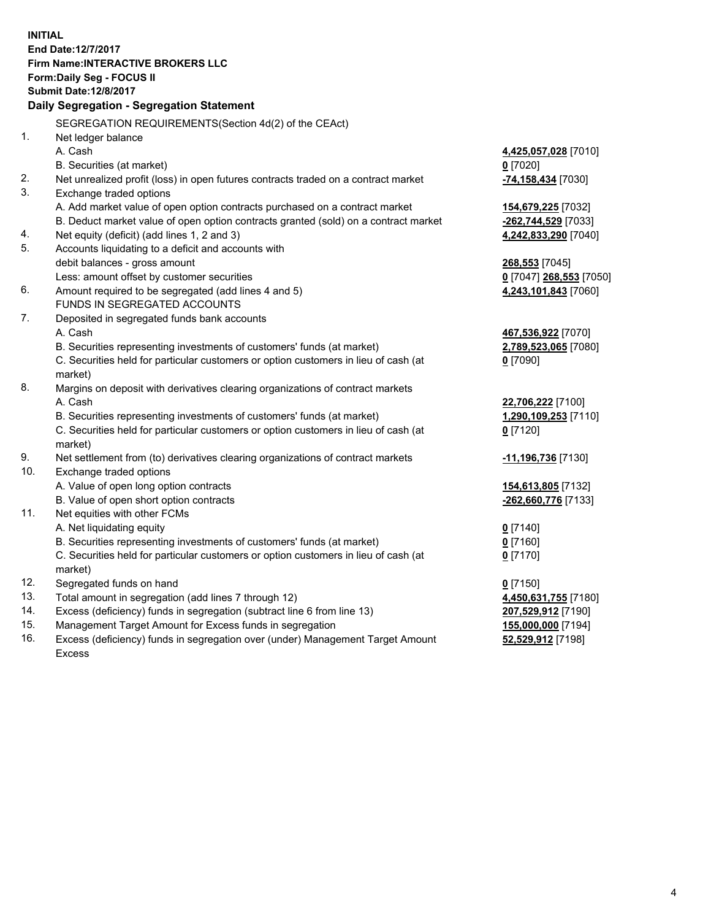**INITIAL End Date:12/7/2017 Firm Name:INTERACTIVE BROKERS LLC Form:Daily Seg - FOCUS II Submit Date:12/8/2017 Daily Segregation - Segregation Statement** SEGREGATION REQUIREMENTS(Section 4d(2) of the CEAct) 1. Net ledger balance A. Cash **4,425,057,028** [7010] B. Securities (at market) **0** [7020] 2. Net unrealized profit (loss) in open futures contracts traded on a contract market **-74,158,434** [7030] 3. Exchange traded options A. Add market value of open option contracts purchased on a contract market **154,679,225** [7032] B. Deduct market value of open option contracts granted (sold) on a contract market **-262,744,529** [7033] 4. Net equity (deficit) (add lines 1, 2 and 3) **4,242,833,290** [7040] 5. Accounts liquidating to a deficit and accounts with debit balances - gross amount **268,553** [7045] Less: amount offset by customer securities **0** [7047] **268,553** [7050] 6. Amount required to be segregated (add lines 4 and 5) **4,243,101,843** [7060] FUNDS IN SEGREGATED ACCOUNTS 7. Deposited in segregated funds bank accounts A. Cash **467,536,922** [7070] B. Securities representing investments of customers' funds (at market) **2,789,523,065** [7080] C. Securities held for particular customers or option customers in lieu of cash (at market) **0** [7090] 8. Margins on deposit with derivatives clearing organizations of contract markets A. Cash **22,706,222** [7100] B. Securities representing investments of customers' funds (at market) **1,290,109,253** [7110] C. Securities held for particular customers or option customers in lieu of cash (at market) **0** [7120] 9. Net settlement from (to) derivatives clearing organizations of contract markets **-11,196,736** [7130] 10. Exchange traded options A. Value of open long option contracts **154,613,805** [7132] B. Value of open short option contracts **-262,660,776** [7133] 11. Net equities with other FCMs A. Net liquidating equity **0** [7140] B. Securities representing investments of customers' funds (at market) **0** [7160] C. Securities held for particular customers or option customers in lieu of cash (at market) **0** [7170] 12. Segregated funds on hand **0** [7150] 13. Total amount in segregation (add lines 7 through 12) **4,450,631,755** [7180] 14. Excess (deficiency) funds in segregation (subtract line 6 from line 13) **207,529,912** [7190] 15. Management Target Amount for Excess funds in segregation **155,000,000** [7194]

16. Excess (deficiency) funds in segregation over (under) Management Target Amount Excess

**52,529,912** [7198]